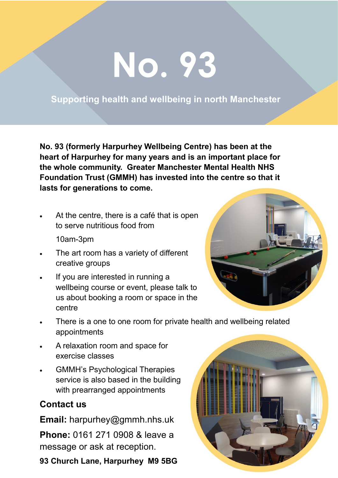## No. 93

## **Supporting health and wellbeing in north Manchester**

**No. 93 (formerly Harpurhey Wellbeing Centre) has been at the heart of Harpurhey for many years and is an important place for the whole community. Greater Manchester Mental Health NHS Foundation Trust (GMMH) has invested into the centre so that it lasts for generations to come.**

At the centre, there is a café that is open to serve nutritious food from

10am-3pm

- The art room has a variety of different creative groups
- If you are interested in running a wellbeing course or event, please talk to us about booking a room or space in the centre



- There is a one to one room for private health and wellbeing related appointments
- A relaxation room and space for exercise classes
- GMMH's Psychological Therapies service is also based in the building with prearranged appointments

## **Contact us**

**Email:** harpurhey@gmmh.nhs.uk

**Phone:** 0161 271 0908 & leave a message or ask at reception.

**93 Church Lane, Harpurhey M9 5BG**